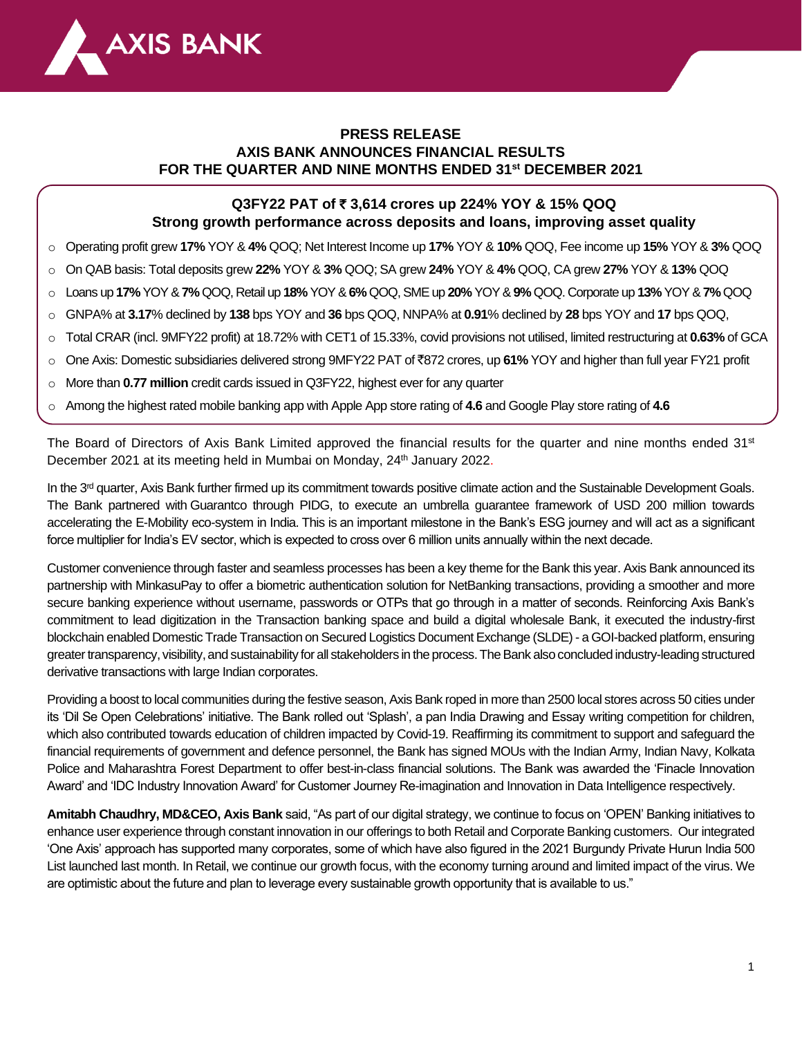

# **PRESS RELEASE AXIS BANK ANNOUNCES FINANCIAL RESULTS FOR THE QUARTER AND NINE MONTHS ENDED 31st DECEMBER 2021**

# **Q3FY22 PAT of** ` **3,614 crores up 224% YOY & 15% QOQ Strong growth performance across deposits and loans, improving asset quality**

- o Operating profit grew **17%** YOY & **4%** QOQ; Net Interest Income up **17%** YOY & **10%** QOQ, Fee income up **15%** YOY & **3%** QOQ
- o On QAB basis: Total deposits grew **22%** YOY & **3%** QOQ; SA grew **24%** YOY & **4%** QOQ, CA grew **27%** YOY & **13%** QOQ
- o Loans up **17%** YOY &**7%** QOQ, Retail up **18%** YOY & **6%** QOQ, SME up **20%** YOY & **9%** QOQ. Corporate up **13%** YOY & **7%**QOQ
- o GNPA% at **3.17**% declined by **138** bps YOY and **36** bps QOQ, NNPA% at **0.91**% declined by **28** bps YOY and **17** bps QOQ,
- o Total CRAR (incl. 9MFY22 profit) at 18.72% with CET1 of 15.33%, covid provisions not utilised, limited restructuring at **0.63%** of GCA
- o One Axis: Domestic subsidiaries delivered strong 9MFY22 PAT of `872 crores, up **61%** YOY and higher than full year FY21 profit
- o More than **0.77 million** credit cards issued in Q3FY22, highest ever for any quarter
- o Among the highest rated mobile banking app with Apple App store rating of **4.6** and Google Play store rating of **4.6**

The Board of Directors of Axis Bank Limited approved the financial results for the quarter and nine months ended 31<sup>st</sup> December 2021 at its meeting held in Mumbai on Monday, 24<sup>th</sup> January 2022.

In the 3<sup>rd</sup> quarter, Axis Bank further firmed up its commitment towards positive climate action and the Sustainable Development Goals. The Bank partnered with Guarantco through PIDG, to execute an umbrella guarantee framework of USD 200 million towards accelerating the E-Mobility eco-system in India. This is an important milestone in the Bank's ESG journey and will act as a significant force multiplier for India's EV sector, which is expected to cross over 6 million units annually within the next decade.

Customer convenience through faster and seamless processes has been a key theme for the Bank this year. Axis Bank announced its partnership with MinkasuPay to offer a biometric authentication solution for NetBanking transactions, providing a smoother and more secure banking experience without username, passwords or OTPs that go through in a matter of seconds. Reinforcing Axis Bank's commitment to lead digitization in the Transaction banking space and build a digital wholesale Bank, it executed the industry-first blockchain enabled Domestic Trade Transaction on Secured Logistics Document Exchange (SLDE) - a GOI-backed platform, ensuring greater transparency, visibility, and sustainability for all stakeholders in the process. The Bank also concluded industry-leading structured derivative transactions with large Indian corporates.

Providing a boost to local communities during the festive season, Axis Bank roped in more than 2500 local stores across 50 cities under its 'Dil Se Open Celebrations' initiative. The Bank rolled out 'Splash', a pan India Drawing and Essay writing competition for children, which also contributed towards education of children impacted by Covid-19. Reaffirming its commitment to support and safeguard the financial requirements of government and defence personnel, the Bank has signed MOUs with the Indian Army, Indian Navy, Kolkata Police and Maharashtra Forest Department to offer best-in-class financial solutions. The Bank was awarded the 'Finacle Innovation Award' and 'IDC Industry Innovation Award' for Customer Journey Re-imagination and Innovation in Data Intelligence respectively.

**Amitabh Chaudhry, MD&CEO, Axis Bank** said, "As part of our digital strategy, we continue to focus on 'OPEN' Banking initiatives to enhance user experience through constant innovation in our offerings to both Retail and Corporate Banking customers. Our integrated 'One Axis' approach has supported many corporates, some of which have also figured in the 2021 Burgundy Private Hurun India 500 List launched last month. In Retail, we continue our growth focus, with the economy turning around and limited impact of the virus. We are optimistic about the future and plan to leverage every sustainable growth opportunity that is available to us."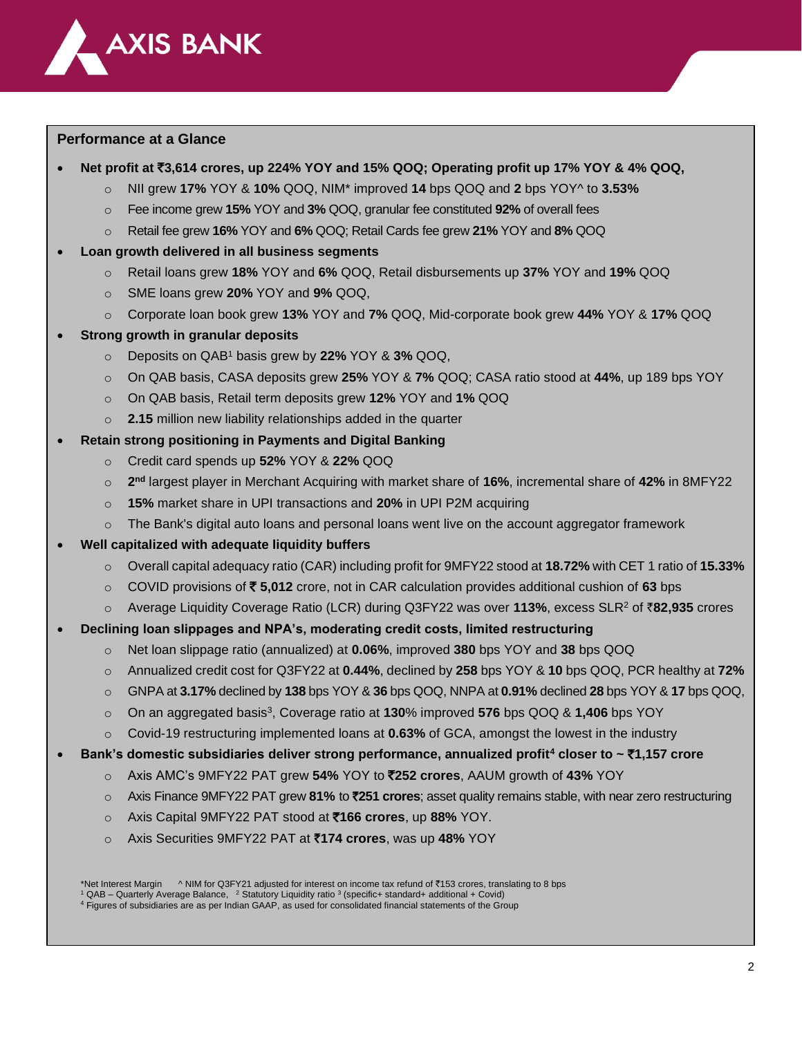

## **Performance at a Glance**

- **Net profit at** `**3,614 crores, up 224% YOY and 15% QOQ; Operating profit up 17% YOY & 4% QOQ,**
	- o NII grew **17%** YOY & **10%** QOQ, NIM\* improved **14** bps QOQ and **2** bps YOY^ to **3.53%**
	- o Fee income grew **15%** YOY and **3%** QOQ, granular fee constituted **92%** of overall fees
	- o Retail fee grew **16%** YOY and **6%** QOQ; Retail Cards fee grew **21%** YOY and **8%** QOQ

### • **Loan growth delivered in all business segments**

- o Retail loans grew **18%** YOY and **6%** QOQ, Retail disbursements up **37%** YOY and **19%** QOQ
- o SME loans grew **20%** YOY and **9%** QOQ,
- o Corporate loan book grew **13%** YOY and **7%** QOQ, Mid-corporate book grew **44%** YOY & **17%** QOQ
- **Strong growth in granular deposits** 
	- o Deposits on QAB<sup>1</sup> basis grew by **22%** YOY & **3%** QOQ,
	- o On QAB basis, CASA deposits grew **25%** YOY & **7%** QOQ; CASA ratio stood at **44%**, up 189 bps YOY
	- o On QAB basis, Retail term deposits grew **12%** YOY and **1%** QOQ
	- o **2.15** million new liability relationships added in the quarter
- **Retain strong positioning in Payments and Digital Banking**
	- o Credit card spends up **52%** YOY & **22%** QOQ
	- o **2 nd** largest player in Merchant Acquiring with market share of **16%**, incremental share of **42%** in 8MFY22
	- o **15%** market share in UPI transactions and **20%** in UPI P2M acquiring
	- $\circ$  The Bank's digital auto loans and personal loans went live on the account aggregator framework
- **Well capitalized with adequate liquidity buffers**
	- o Overall capital adequacy ratio (CAR) including profit for 9MFY22 stood at **18.72%** with CET 1 ratio of **15.33%**
	- o COVID provisions of ` **5,012** crore, not in CAR calculation provides additional cushion of **63** bps
	- o Average Liquidity Coverage Ratio (LCR) during Q3FY22 was over **113%**, excess SLR<sup>2</sup> of `**82,935** crores

## • **Declining loan slippages and NPA's, moderating credit costs, limited restructuring**

- o Net loan slippage ratio (annualized) at **0.06%**, improved **380** bps YOY and **38** bps QOQ
- o Annualized credit cost for Q3FY22 at **0.44%**, declined by **258** bps YOY & **10** bps QOQ, PCR healthy at **72%**
- o GNPA at **3.17%** declined by **138** bps YOY & **36** bps QOQ, NNPA at **0.91%** declined **28** bps YOY & **17** bps QOQ,
- o On an aggregated basis<sup>3</sup> , Coverage ratio at **130**% improved **576** bps QOQ & **1,406** bps YOY
- o Covid-19 restructuring implemented loans at **0.63%** of GCA, amongst the lowest in the industry

#### • **Bank's domestic subsidiaries deliver strong performance, annualized profit<sup>4</sup> closer to ~** `**1,157 crore**

- o Axis AMC's 9MFY22 PAT grew **54%** YOY to `**252 crores**, AAUM growth of **43%** YOY
- o Axis Finance 9MFY22 PAT grew **81%** to `**251 crores**; asset quality remains stable, with near zero restructuring
- o Axis Capital 9MFY22 PAT stood at `**166 crores**, up **88%** YOY.
- o Axis Securities 9MFY22 PAT at `**174 crores**, was up **48%** YOY

\*Net Interest Margin ^ NIM for Q3FY21 adjusted for interest on income tax refund of ₹153 crores, translating to 8 bps <sup>1</sup> QAB – Quarterly Average Balance, <sup>2</sup> Statutory Liquidity ratio <sup>3</sup> (specific+ standard+ additional + Covid) <sup>4</sup> Figures of subsidiaries are as per Indian GAAP, as used for consolidated financial statements of the Group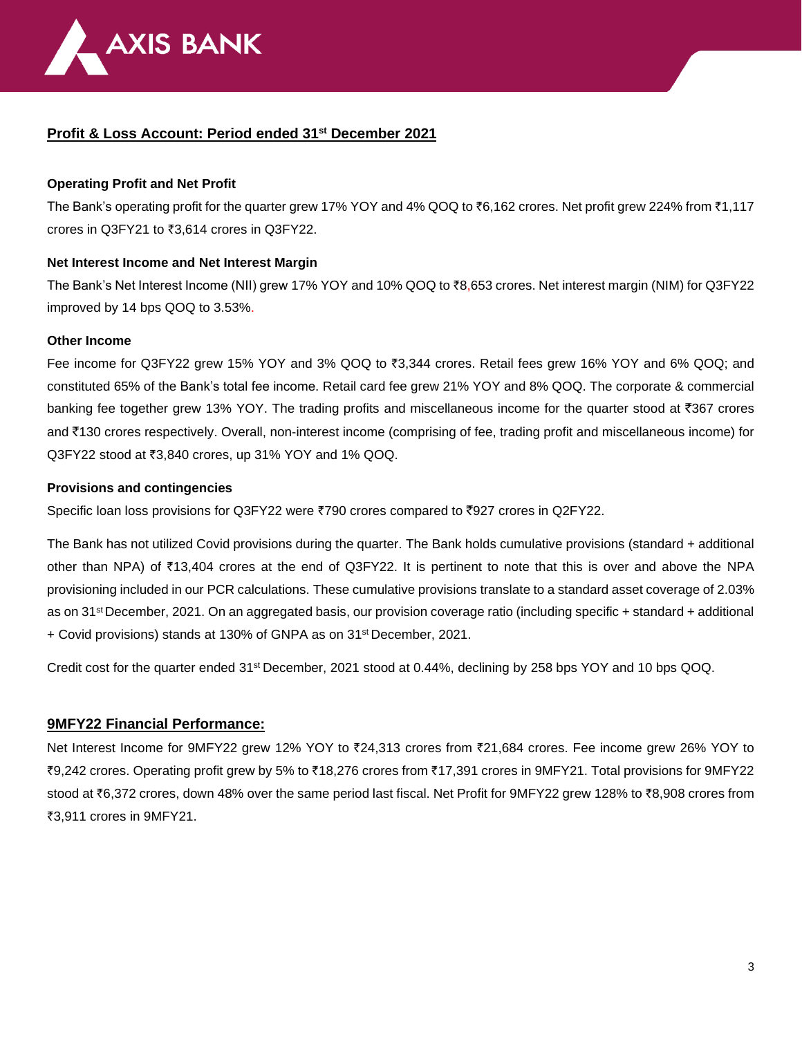

# **Profit & Loss Account: Period ended 31 st December 2021**

### **Operating Profit and Net Profit**

The Bank's operating profit for the quarter grew 17% YOY and 4% QOQ to  $\bar{\epsilon}6,162$  crores. Net profit grew 224% from  $\bar{\epsilon}1,117$ crores in Q3FY21 to  $\overline{3,614}$  crores in Q3FY22.

#### **Net Interest Income and Net Interest Margin**

The Bank's Net Interest Income (NII) grew 17% YOY and 10% QOQ to ₹8,653 crores. Net interest margin (NIM) for Q3FY22 improved by 14 bps QOQ to 3.53%.

#### **Other Income**

Fee income for Q3FY22 grew 15% YOY and 3% QOQ to ₹3,344 crores. Retail fees grew 16% YOY and 6% QOQ; and constituted 65% of the Bank's total fee income. Retail card fee grew 21% YOY and 8% QOQ. The corporate & commercial banking fee together grew 13% YOY. The trading profits and miscellaneous income for the quarter stood at  $\overline{3}87$  crores and `130 crores respectively. Overall, non-interest income (comprising of fee, trading profit and miscellaneous income) for  $Q3FY22$  stood at  $\overline{3}3,840$  crores, up 31% YOY and 1% QOQ.

### **Provisions and contingencies**

Specific loan loss provisions for Q3FY22 were  $\overline{7}790$  crores compared to  $\overline{7}927$  crores in Q2FY22.

The Bank has not utilized Covid provisions during the quarter. The Bank holds cumulative provisions (standard + additional other than NPA) of  $\overline{513,404}$  crores at the end of Q3FY22. It is pertinent to note that this is over and above the NPA provisioning included in our PCR calculations. These cumulative provisions translate to a standard asset coverage of 2.03% as on 31 st December, 2021. On an aggregated basis, our provision coverage ratio (including specific + standard + additional + Covid provisions) stands at 130% of GNPA as on 31st December, 2021.

Credit cost for the quarter ended 31st December, 2021 stood at 0.44%, declining by 258 bps YOY and 10 bps QOQ.

## **9MFY22 Financial Performance:**

Net Interest Income for 9MFY22 grew 12% YOY to ₹24,313 crores from ₹21,684 crores. Fee income grew 26% YOY to ₹9,242 crores. Operating profit grew by 5% to ₹18,276 crores from ₹17,391 crores in 9MFY21. Total provisions for 9MFY22 stood at  $\text{\texttt{8}}6,372$  crores, down 48% over the same period last fiscal. Net Profit for 9MFY22 grew 128% to  $\text{\texttt{8}}8,908$  crores from ₹3.911 crores in 9MFY21.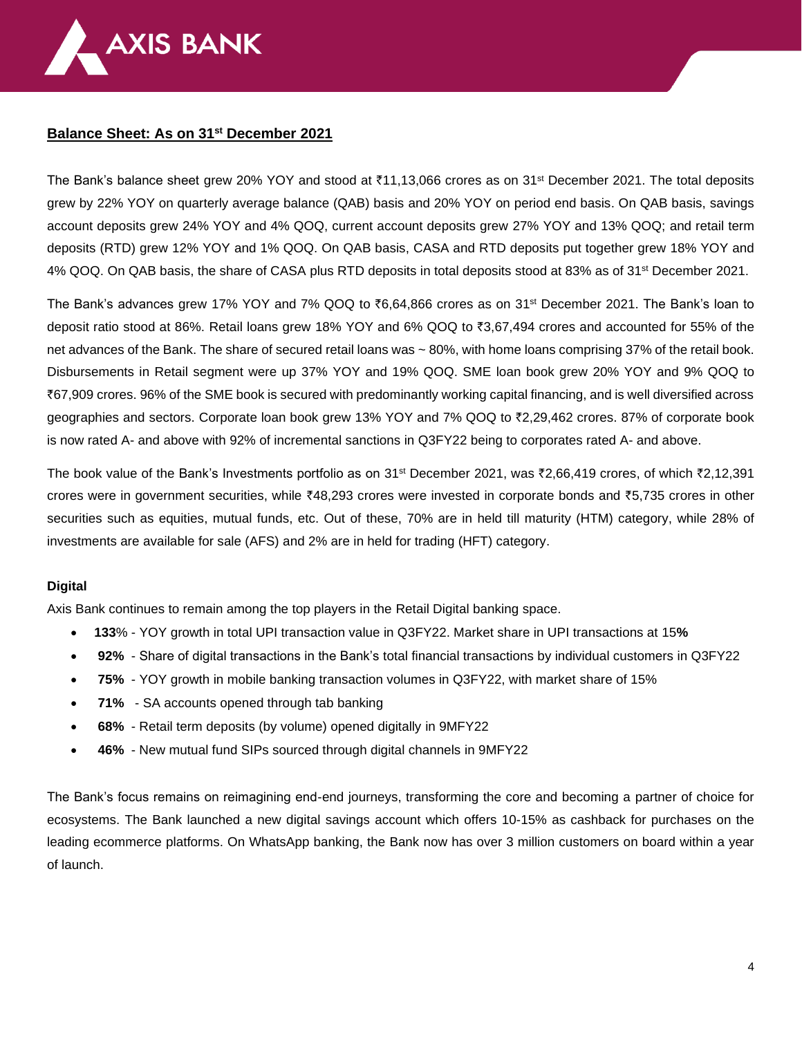

## **Balance Sheet: As on 31 st December 2021**

The Bank's balance sheet grew 20% YOY and stood at ₹11,13,066 crores as on 31<sup>st</sup> December 2021. The total deposits grew by 22% YOY on quarterly average balance (QAB) basis and 20% YOY on period end basis. On QAB basis, savings account deposits grew 24% YOY and 4% QOQ, current account deposits grew 27% YOY and 13% QOQ; and retail term deposits (RTD) grew 12% YOY and 1% QOQ. On QAB basis, CASA and RTD deposits put together grew 18% YOY and 4% QOQ. On QAB basis, the share of CASA plus RTD deposits in total deposits stood at 83% as of 31<sup>st</sup> December 2021.

The Bank's advances grew 17% YOY and 7% QOQ to  $\bar{e}6.64,866$  crores as on 31<sup>st</sup> December 2021. The Bank's loan to deposit ratio stood at 86%. Retail loans grew 18% YOY and 6% QOQ to `3,67,494 crores and accounted for 55% of the net advances of the Bank. The share of secured retail loans was ~80%, with home loans comprising 37% of the retail book. Disbursements in Retail segment were up 37% YOY and 19% QOQ. SME loan book grew 20% YOY and 9% QOQ to `67,909 crores. 96% of the SME book is secured with predominantly working capital financing, and is well diversified across geographies and sectors. Corporate loan book grew 13% YOY and 7% QOQ to `2,29,462 crores. 87% of corporate book is now rated A- and above with 92% of incremental sanctions in Q3FY22 being to corporates rated A- and above.

The book value of the Bank's Investments portfolio as on 31<sup>st</sup> December 2021, was  $\bar{\zeta}2,66,419$  crores, of which  $\bar{\zeta}2,12,391$ crores were in government securities, while ₹48,293 crores were invested in corporate bonds and ₹5,735 crores in other securities such as equities, mutual funds, etc. Out of these, 70% are in held till maturity (HTM) category, while 28% of investments are available for sale (AFS) and 2% are in held for trading (HFT) category.

#### **Digital**

Axis Bank continues to remain among the top players in the Retail Digital banking space.

- **133**% YOY growth in total UPI transaction value in Q3FY22. Market share in UPI transactions at 15**%**
- **92%** Share of digital transactions in the Bank's total financial transactions by individual customers in Q3FY22
- **75%** YOY growth in mobile banking transaction volumes in Q3FY22, with market share of 15%
- **71%**  SA accounts opened through tab banking
- **68%** Retail term deposits (by volume) opened digitally in 9MFY22
- **46%** New mutual fund SIPs sourced through digital channels in 9MFY22

The Bank's focus remains on reimagining end-end journeys, transforming the core and becoming a partner of choice for ecosystems. The Bank launched a new digital savings account which offers 10-15% as cashback for purchases on the leading ecommerce platforms. On WhatsApp banking, the Bank now has over 3 million customers on board within a year of launch.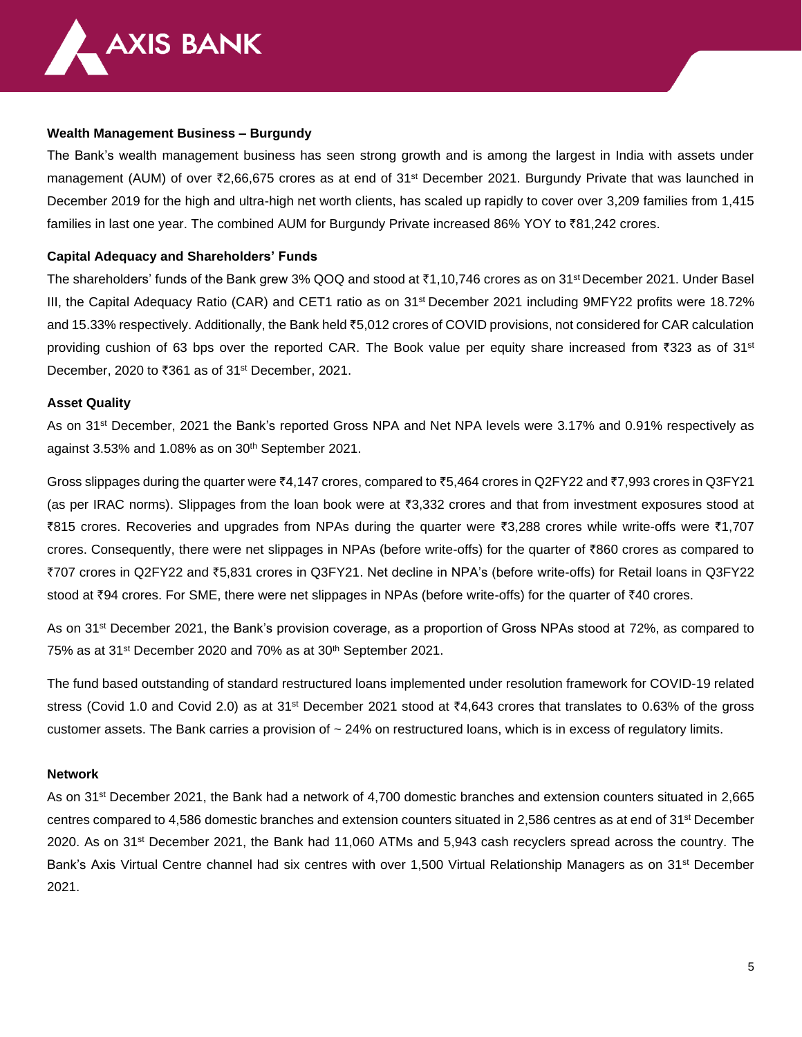

#### **Wealth Management Business – Burgundy**

The Bank's wealth management business has seen strong growth and is among the largest in India with assets under management (AUM) of over ₹2,66,675 crores as at end of 31<sup>st</sup> December 2021. Burgundy Private that was launched in December 2019 for the high and ultra-high net worth clients, has scaled up rapidly to cover over 3,209 families from 1,415 families in last one year. The combined AUM for Burgundy Private increased 86% YOY to ₹81,242 crores.

#### **Capital Adequacy and Shareholders' Funds**

The shareholders' funds of the Bank grew 3% QOQ and stood at  $\bar{c}$ 1,10,746 crores as on 31<sup>st</sup> December 2021. Under Basel III, the Capital Adequacy Ratio (CAR) and CET1 ratio as on 31<sup>st</sup> December 2021 including 9MFY22 profits were 18.72% and 15.33% respectively. Additionally, the Bank held `5,012 crores of COVID provisions, not considered for CAR calculation providing cushion of 63 bps over the reported CAR. The Book value per equity share increased from ₹323 as of 31st December, 2020 to ₹361 as of 31<sup>st</sup> December, 2021.

#### **Asset Quality**

As on 31<sup>st</sup> December, 2021 the Bank's reported Gross NPA and Net NPA levels were 3.17% and 0.91% respectively as against 3.53% and 1.08% as on 30<sup>th</sup> September 2021.

Gross slippages during the quarter were  $\bar{\tau}4,147$  crores, compared to  $\bar{\tau}5,464$  crores in Q2FY22 and  $\bar{\tau}7,993$  crores in Q3FY21 (as per IRAC norms). Slippages from the loan book were at ₹3,332 crores and that from investment exposures stood at `815 crores. Recoveries and upgrades from NPAs during the quarter were `3,288 crores while write-offs were `1,707 crores. Consequently, there were net slippages in NPAs (before write-offs) for the quarter of `860 crores as compared to `707 crores in Q2FY22 and `5,831 crores in Q3FY21. Net decline in NPA's (before write-offs) for Retail loans in Q3FY22 stood at ₹94 crores. For SME, there were net slippages in NPAs (before write-offs) for the quarter of ₹40 crores.

As on 31<sup>st</sup> December 2021, the Bank's provision coverage, as a proportion of Gross NPAs stood at 72%, as compared to 75% as at 31<sup>st</sup> December 2020 and 70% as at 30<sup>th</sup> September 2021.

The fund based outstanding of standard restructured loans implemented under resolution framework for COVID-19 related stress (Covid 1.0 and Covid 2.0) as at 31<sup>st</sup> December 2021 stood at  $*4,643$  crores that translates to 0.63% of the gross customer assets. The Bank carries a provision of  $\sim$  24% on restructured loans, which is in excess of regulatory limits.

#### **Network**

As on 31st December 2021, the Bank had a network of 4,700 domestic branches and extension counters situated in 2,665 centres compared to 4,586 domestic branches and extension counters situated in 2,586 centres as at end of 31st December 2020. As on 31st December 2021, the Bank had 11,060 ATMs and 5,943 cash recyclers spread across the country. The Bank's Axis Virtual Centre channel had six centres with over 1,500 Virtual Relationship Managers as on 31<sup>st</sup> December 2021.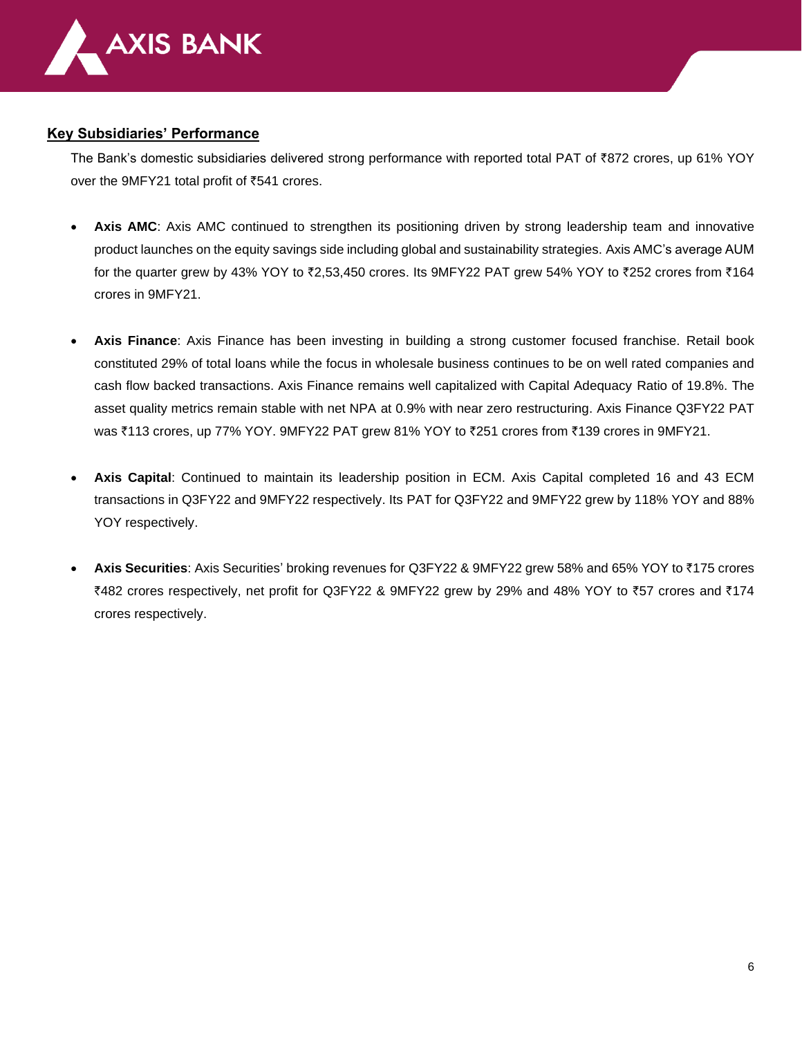

## **Key Subsidiaries' Performance**

The Bank's domestic subsidiaries delivered strong performance with reported total PAT of ₹872 crores, up 61% YOY over the 9MFY21 total profit of  $\overline{5}541$  crores.

- **Axis AMC:** Axis AMC continued to strengthen its positioning driven by strong leadership team and innovative product launches on the equity savings side including global and sustainability strategies. Axis AMC's average AUM for the quarter grew by 43% YOY to  $\overline{z}2,53,450$  crores. Its 9MFY22 PAT grew 54% YOY to  $\overline{z}252$  crores from  $\overline{z}164$ crores in 9MFY21.
- **Axis Finance**: Axis Finance has been investing in building a strong customer focused franchise. Retail book constituted 29% of total loans while the focus in wholesale business continues to be on well rated companies and cash flow backed transactions. Axis Finance remains well capitalized with Capital Adequacy Ratio of 19.8%. The asset quality metrics remain stable with net NPA at 0.9% with near zero restructuring. Axis Finance Q3FY22 PAT was ₹113 crores, up 77% YOY. 9MFY22 PAT grew 81% YOY to ₹251 crores from ₹139 crores in 9MFY21.
- **Axis Capital**: Continued to maintain its leadership position in ECM. Axis Capital completed 16 and 43 ECM transactions in Q3FY22 and 9MFY22 respectively. Its PAT for Q3FY22 and 9MFY22 grew by 118% YOY and 88% YOY respectively.
- **Axis Securities**: Axis Securities' broking revenues for Q3FY22 & 9MFY22 grew 58% and 65% YOY to `175 crores `482 crores respectively, net profit for Q3FY22 & 9MFY22 grew by 29% and 48% YOY to `57 crores and `174 crores respectively.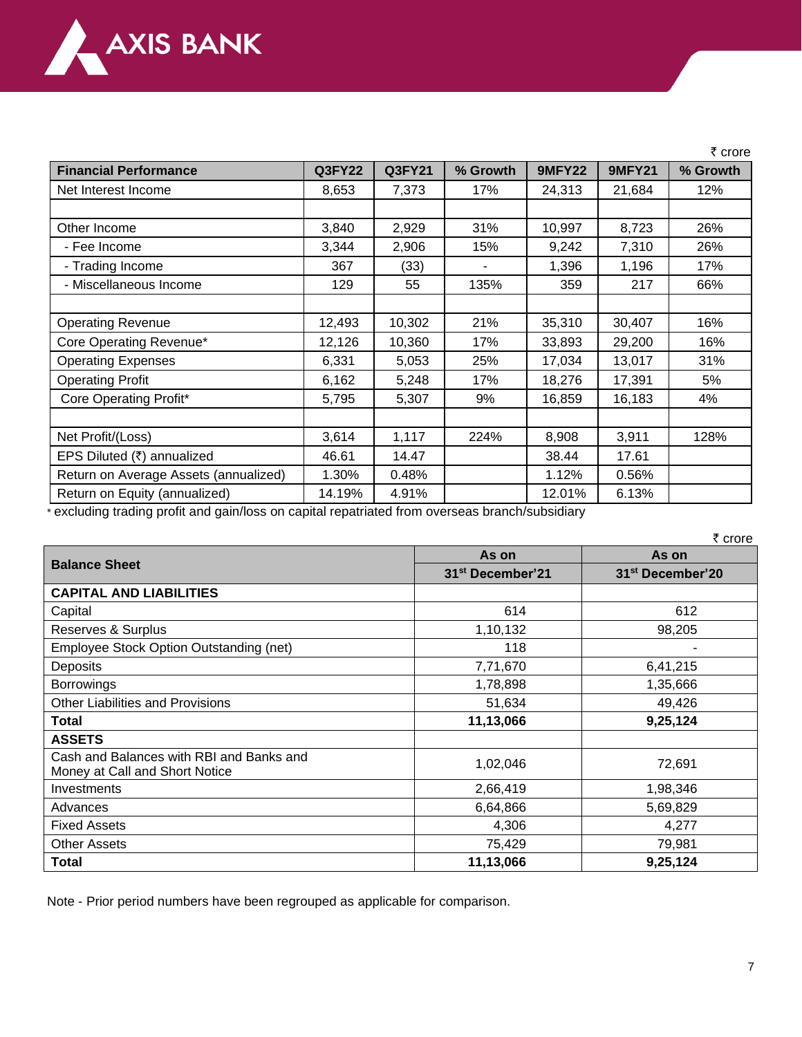

|                                       |               |               |          |               |               | ₹ crore  |
|---------------------------------------|---------------|---------------|----------|---------------|---------------|----------|
| <b>Financial Performance</b>          | <b>Q3FY22</b> | <b>Q3FY21</b> | % Growth | <b>9MFY22</b> | <b>9MFY21</b> | % Growth |
| Net Interest Income                   | 8,653         | 7,373         | 17%      | 24,313        | 21,684        | 12%      |
|                                       |               |               |          |               |               |          |
| Other Income                          | 3,840         | 2,929         | 31%      | 10,997        | 8,723         | 26%      |
| - Fee Income                          | 3,344         | 2,906         | 15%      | 9,242         | 7,310         | 26%      |
| - Trading Income                      | 367           | (33)          |          | 1,396         | 1,196         | 17%      |
| - Miscellaneous Income                | 129           | 55            | 135%     | 359           | 217           | 66%      |
|                                       |               |               |          |               |               |          |
| <b>Operating Revenue</b>              | 12,493        | 10,302        | 21%      | 35,310        | 30,407        | 16%      |
| Core Operating Revenue*               | 12,126        | 10,360        | 17%      | 33,893        | 29,200        | 16%      |
| <b>Operating Expenses</b>             | 6,331         | 5,053         | 25%      | 17,034        | 13,017        | 31%      |
| <b>Operating Profit</b>               | 6,162         | 5,248         | 17%      | 18,276        | 17,391        | 5%       |
| Core Operating Profit*                | 5,795         | 5,307         | 9%       | 16,859        | 16,183        | 4%       |
|                                       |               |               |          |               |               |          |
| Net Profit/(Loss)                     | 3,614         | 1,117         | 224%     | 8,908         | 3,911         | 128%     |
| EPS Diluted (₹) annualized            | 46.61         | 14.47         |          | 38.44         | 17.61         |          |
| Return on Average Assets (annualized) | 1.30%         | 0.48%         |          | 1.12%         | 0.56%         |          |
| Return on Equity (annualized)         | 14.19%        | 4.91%         |          | 12.01%        | 6.13%         |          |

\* excluding trading profit and gain/loss on capital repatriated from overseas branch/subsidiary

|                                                                            | As on                        | As on                        |  |  |
|----------------------------------------------------------------------------|------------------------------|------------------------------|--|--|
| <b>Balance Sheet</b>                                                       | 31 <sup>st</sup> December'21 | 31 <sup>st</sup> December'20 |  |  |
| <b>CAPITAL AND LIABILITIES</b>                                             |                              |                              |  |  |
| Capital                                                                    | 614                          | 612                          |  |  |
| Reserves & Surplus                                                         | 1,10,132                     | 98,205                       |  |  |
| Employee Stock Option Outstanding (net)                                    | 118                          |                              |  |  |
| Deposits                                                                   | 7,71,670                     | 6,41,215                     |  |  |
| <b>Borrowings</b>                                                          | 1,78,898                     | 1,35,666                     |  |  |
| <b>Other Liabilities and Provisions</b>                                    | 51,634                       | 49,426                       |  |  |
| <b>Total</b>                                                               | 11,13,066                    | 9,25,124                     |  |  |
| <b>ASSETS</b>                                                              |                              |                              |  |  |
| Cash and Balances with RBI and Banks and<br>Money at Call and Short Notice | 1,02,046                     | 72,691                       |  |  |
| Investments                                                                | 2,66,419                     | 1,98,346                     |  |  |
| Advances                                                                   | 6,64,866                     | 5,69,829                     |  |  |
| <b>Fixed Assets</b>                                                        | 4,306                        | 4,277                        |  |  |
| <b>Other Assets</b>                                                        | 75,429                       | 79,981                       |  |  |
| Total                                                                      | 11,13,066                    | 9,25,124                     |  |  |

Note - Prior period numbers have been regrouped as applicable for comparison.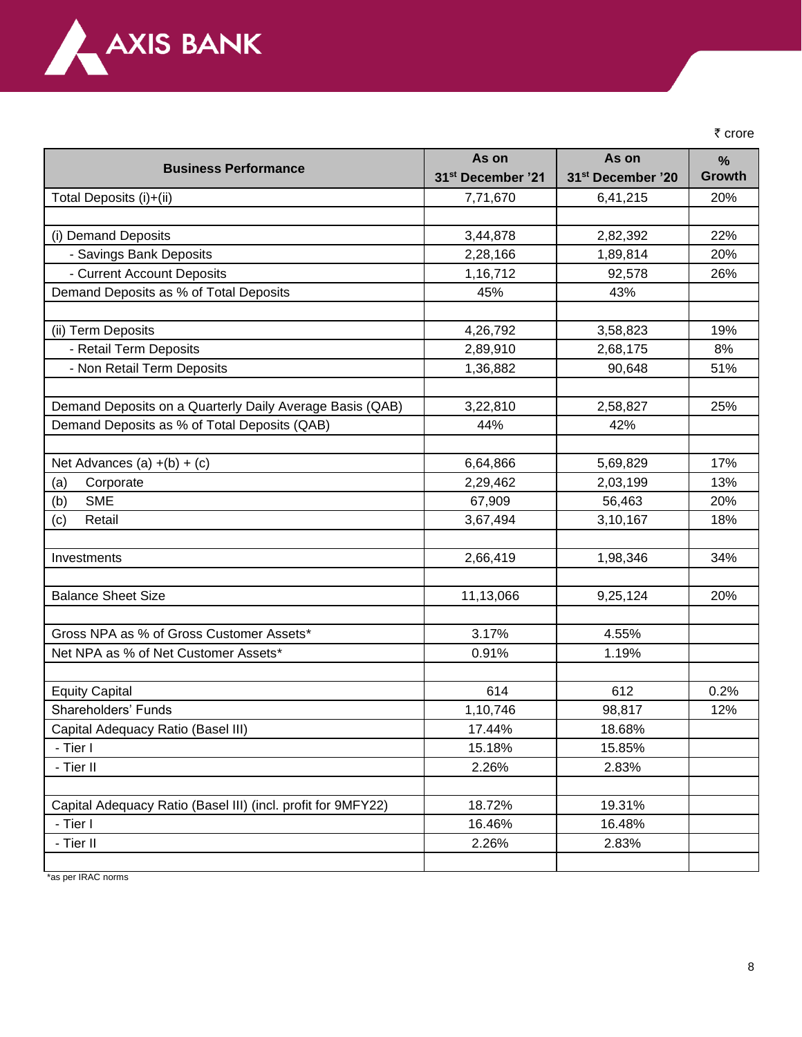

₹ crore

|                                                              | As on                         | As on                         | $\frac{0}{0}$ |
|--------------------------------------------------------------|-------------------------------|-------------------------------|---------------|
| <b>Business Performance</b>                                  | 31 <sup>st</sup> December '21 | 31 <sup>st</sup> December '20 | <b>Growth</b> |
| Total Deposits (i)+(ii)                                      | 7,71,670                      | 6,41,215                      | 20%           |
|                                                              |                               |                               |               |
| (i) Demand Deposits                                          | 3,44,878                      | 2,82,392                      | 22%           |
| - Savings Bank Deposits                                      | 2,28,166                      | 1,89,814                      | 20%           |
| - Current Account Deposits                                   | 1,16,712                      | 92,578                        | 26%           |
| Demand Deposits as % of Total Deposits                       | 45%                           | 43%                           |               |
|                                                              |                               |                               |               |
| (ii) Term Deposits                                           | 4,26,792                      | 3,58,823                      | 19%           |
| - Retail Term Deposits                                       | 2,89,910                      | 2,68,175                      | 8%            |
| - Non Retail Term Deposits                                   | 1,36,882                      | 90,648                        | 51%           |
|                                                              |                               |                               |               |
| Demand Deposits on a Quarterly Daily Average Basis (QAB)     | 3,22,810                      | 2,58,827                      | 25%           |
| Demand Deposits as % of Total Deposits (QAB)                 | 44%                           | 42%                           |               |
|                                                              |                               |                               |               |
| Net Advances (a) $+(b) + (c)$                                | 6,64,866                      | 5,69,829                      | 17%           |
| Corporate<br>(a)                                             | 2,29,462                      | 2,03,199                      | 13%           |
| <b>SME</b><br>(b)                                            | 67,909                        | 56,463                        | 20%           |
| Retail<br>(c)                                                | 3,67,494                      | 3,10,167                      | 18%           |
|                                                              |                               |                               |               |
| Investments                                                  | 2,66,419                      | 1,98,346                      | 34%           |
|                                                              |                               |                               |               |
| <b>Balance Sheet Size</b>                                    | 11,13,066                     | 9,25,124                      | 20%           |
|                                                              |                               |                               |               |
| Gross NPA as % of Gross Customer Assets*                     | 3.17%                         | 4.55%                         |               |
| Net NPA as % of Net Customer Assets*                         | 0.91%                         | 1.19%                         |               |
|                                                              |                               |                               |               |
| <b>Equity Capital</b>                                        | 614                           | 612                           | 0.2%          |
| Shareholders' Funds                                          | 1,10,746                      | 98,817                        | 12%           |
| Capital Adequacy Ratio (Basel III)                           | 17.44%                        | 18.68%                        |               |
| - Tier I                                                     | 15.18%                        | 15.85%                        |               |
| - Tier II                                                    | 2.26%                         | 2.83%                         |               |
|                                                              |                               |                               |               |
| Capital Adequacy Ratio (Basel III) (incl. profit for 9MFY22) | 18.72%                        | 19.31%                        |               |
| - Tier I                                                     | 16.46%                        | 16.48%                        |               |
| - Tier II                                                    | 2.26%                         | 2.83%                         |               |
|                                                              |                               |                               |               |

\*as per IRAC norms